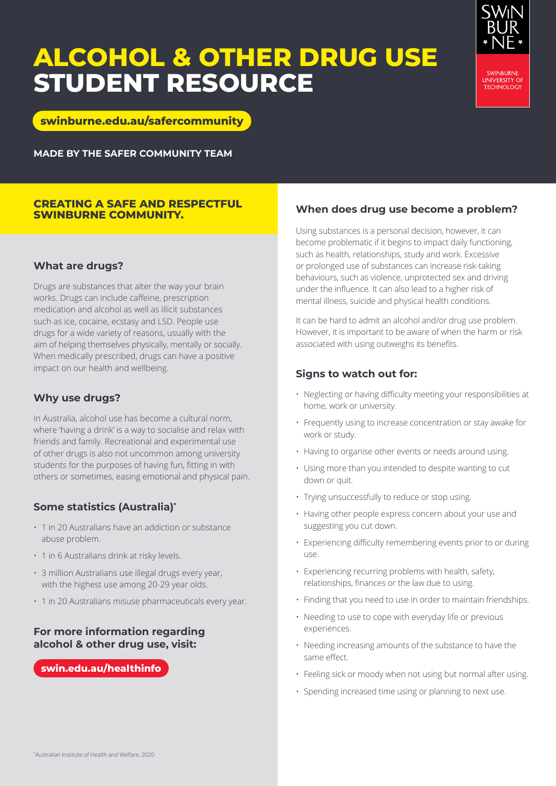# **ALCOHOL & OTHER DRUG USE STUDENT RESOURCE**



**[swinburne.edu.au/safercommunity](http://www.swinburne.edu.au/safercommunity)**

**MADE BY THE SAFER COMMUNITY TEAM**

## **CREATING A SAFE AND RESPECTFUL SWINBURNE COMMUNITY.**

# **What are drugs?**

Drugs are substances that alter the way your brain works. Drugs can include caffeine, prescription medication and alcohol as well as illicit substances such as ice, cocaine, ecstasy and LSD. People use drugs for a wide variety of reasons, usually with the aim of helping themselves physically, mentally or socially. When medically prescribed, drugs can have a positive impact on our health and wellbeing.

# **Why use drugs?**

In Australia, alcohol use has become a cultural norm, where 'having a drink' is a way to socialise and relax with friends and family. Recreational and experimental use of other drugs is also not uncommon among university students for the purposes of having fun, fitting in with others or sometimes, easing emotional and physical pain.

# **Some statistics (Australia)\***

- 1 in 20 Australians have an addiction or substance abuse problem.
- 1 in 6 Australians drink at risky levels.
- 3 million Australians use illegal drugs every year, with the highest use among 20-29 year olds.
- 1 in 20 Australians misuse pharmaceuticals every year.

# **For more information regarding alcohol & other drug use, visit:**

## **[swin.edu.au/healthinfo](http://swin.edu.au/healthinfo)**

# **When does drug use become a problem?**

Using substances is a personal decision, however, it can become problematic if it begins to impact daily functioning, such as health, relationships, study and work. Excessive or prolonged use of substances can increase risk-taking behaviours, such as violence, unprotected sex and driving under the influence. It can also lead to a higher risk of mental illness, suicide and physical health conditions.

It can be hard to admit an alcohol and/or drug use problem. However, it is important to be aware of when the harm or risk associated with using outweighs its benefits.

# **Signs to watch out for:**

- Neglecting or having difficulty meeting your responsibilities at home, work or university.
- Frequently using to increase concentration or stay awake for work or study.
- Having to organise other events or needs around using.
- Using more than you intended to despite wanting to cut down or quit.
- Trying unsuccessfully to reduce or stop using.
- Having other people express concern about your use and suggesting you cut down.
- Experiencing difficulty remembering events prior to or during use.
- Experiencing recurring problems with health, safety, relationships, finances or the law due to using.
- Finding that you need to use in order to maintain friendships.
- Needing to use to cope with everyday life or previous experiences.
- Needing increasing amounts of the substance to have the same effect.
- Feeling sick or moody when not using but normal after using.
- Spending increased time using or planning to next use.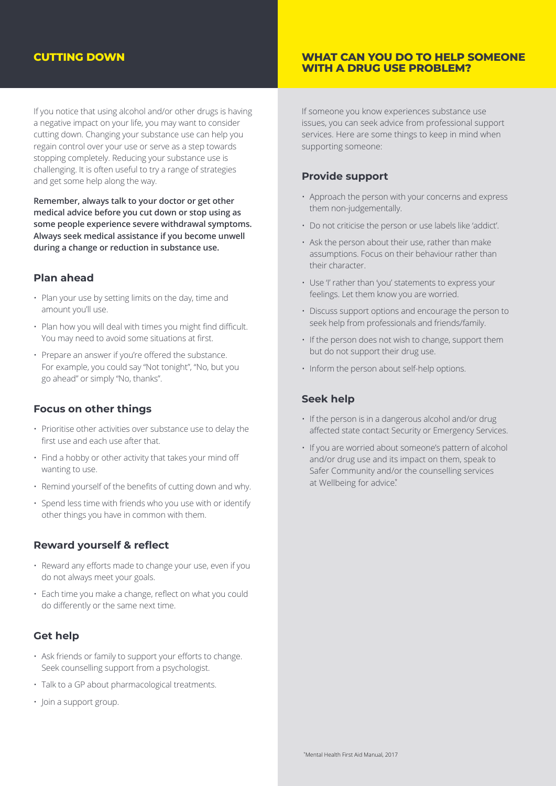# **CUTTING DOWN**

If you notice that using alcohol and/or other drugs is having a negative impact on your life, you may want to consider cutting down. Changing your substance use can help you regain control over your use or serve as a step towards stopping completely. Reducing your substance use is challenging. It is often useful to try a range of strategies and get some help along the way.

**Remember, always talk to your doctor or get other medical advice before you cut down or stop using as some people experience severe withdrawal symptoms. Always seek medical assistance if you become unwell during a change or reduction in substance use.**

## **Plan ahead**

- Plan your use by setting limits on the day, time and amount you'll use.
- Plan how you will deal with times you might find difficult. You may need to avoid some situations at first.
- Prepare an answer if you're offered the substance. For example, you could say "Not tonight", "No, but you go ahead" or simply "No, thanks".

## **Focus on other things**

- Prioritise other activities over substance use to delay the first use and each use after that.
- Find a hobby or other activity that takes your mind off wanting to use.
- Remind yourself of the benefits of cutting down and why.
- Spend less time with friends who you use with or identify other things you have in common with them.

## **Reward yourself & reflect**

- Reward any efforts made to change your use, even if you do not always meet your goals.
- Each time you make a change, reflect on what you could do differently or the same next time.

## **Get help**

- Ask friends or family to support your efforts to change. Seek counselling support from a psychologist.
- Talk to a GP about pharmacological treatments.
- Join a support group.

## **WHAT CAN YOU DO TO HELP SOMEONE WITH A DRUG USE PROBLEM?**

If someone you know experiences substance use issues, you can seek advice from professional support services. Here are some things to keep in mind when supporting someone:

## **Provide support**

- Approach the person with your concerns and express them non-judgementally.
- Do not criticise the person or use labels like 'addict'.
- Ask the person about their use, rather than make assumptions. Focus on their behaviour rather than their character.
- Use 'I' rather than 'you' statements to express your feelings. Let them know you are worried.
- Discuss support options and encourage the person to seek help from professionals and friends/family.
- If the person does not wish to change, support them but do not support their drug use.
- Inform the person about self-help options.

## **Seek help**

- If the person is in a dangerous alcohol and/or drug affected state contact Security or Emergency Services.
- If you are worried about someone's pattern of alcohol and/or drug use and its impact on them, speak to Safer Community and/or the counselling services at Wellbeing for advice\*